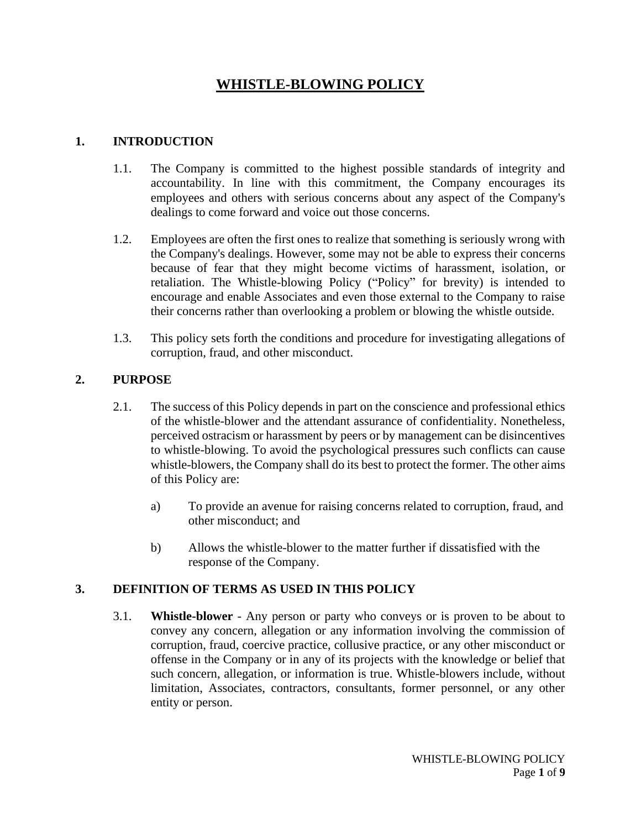# **WHISTLE-BLOWING POLICY**

### **1. INTRODUCTION**

- 1.1. The Company is committed to the highest possible standards of integrity and accountability. In line with this commitment, the Company encourages its employees and others with serious concerns about any aspect of the Company's dealings to come forward and voice out those concerns.
- 1.2. Employees are often the first ones to realize that something is seriously wrong with the Company's dealings. However, some may not be able to express their concerns because of fear that they might become victims of harassment, isolation, or retaliation. The Whistle-blowing Policy ("Policy" for brevity) is intended to encourage and enable Associates and even those external to the Company to raise their concerns rather than overlooking a problem or blowing the whistle outside.
- 1.3. This policy sets forth the conditions and procedure for investigating allegations of corruption, fraud, and other misconduct.

### **2. PURPOSE**

- 2.1. The success of this Policy depends in part on the conscience and professional ethics of the whistle-blower and the attendant assurance of confidentiality. Nonetheless, perceived ostracism or harassment by peers or by management can be disincentives to whistle-blowing. To avoid the psychological pressures such conflicts can cause whistle-blowers, the Company shall do its best to protect the former. The other aims of this Policy are:
	- a) To provide an avenue for raising concerns related to corruption, fraud, and other misconduct; and
	- b) Allows the whistle-blower to the matter further if dissatisfied with the response of the Company.

#### **3. DEFINITION OF TERMS AS USED IN THIS POLICY**

3.1. **Whistle-blower** - Any person or party who conveys or is proven to be about to convey any concern, allegation or any information involving the commission of corruption, fraud, coercive practice, collusive practice, or any other misconduct or offense in the Company or in any of its projects with the knowledge or belief that such concern, allegation, or information is true. Whistle-blowers include, without limitation, Associates, contractors, consultants, former personnel, or any other entity or person.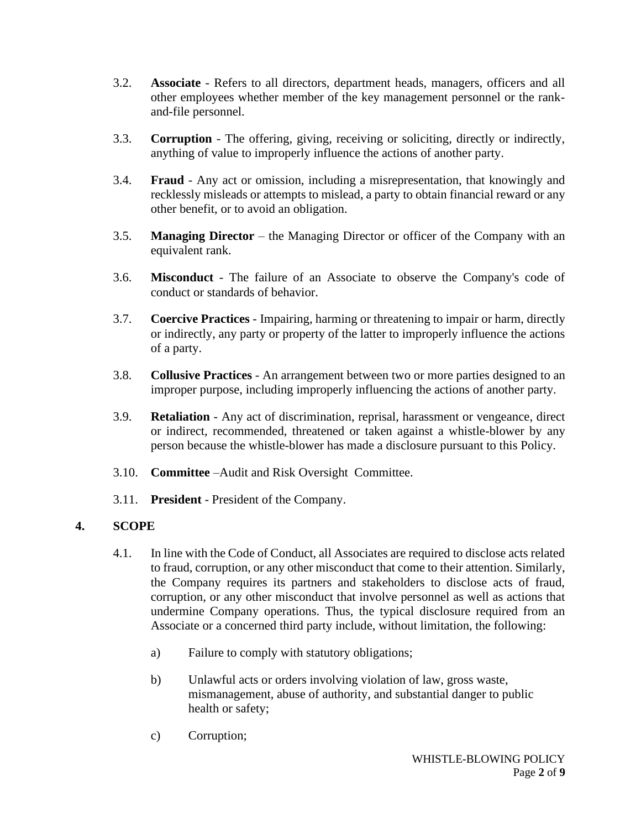- 3.2. **Associate** Refers to all directors, department heads, managers, officers and all other employees whether member of the key management personnel or the rankand-file personnel.
- 3.3. **Corruption** The offering, giving, receiving or soliciting, directly or indirectly, anything of value to improperly influence the actions of another party.
- 3.4. **Fraud** Any act or omission, including a misrepresentation, that knowingly and recklessly misleads or attempts to mislead, a party to obtain financial reward or any other benefit, or to avoid an obligation.
- 3.5. **Managing Director** the Managing Director or officer of the Company with an equivalent rank.
- 3.6. **Misconduct** The failure of an Associate to observe the Company's code of conduct or standards of behavior.
- 3.7. **Coercive Practices** Impairing, harming or threatening to impair or harm, directly or indirectly, any party or property of the latter to improperly influence the actions of a party.
- 3.8. **Collusive Practices** An arrangement between two or more parties designed to an improper purpose, including improperly influencing the actions of another party.
- 3.9. **Retaliation** Any act of discrimination, reprisal, harassment or vengeance, direct or indirect, recommended, threatened or taken against a whistle-blower by any person because the whistle-blower has made a disclosure pursuant to this Policy.
- 3.10. **Committee** –Audit and Risk Oversight Committee.
- 3.11. **President** President of the Company.

### **4. SCOPE**

- 4.1. In line with the Code of Conduct, all Associates are required to disclose acts related to fraud, corruption, or any other misconduct that come to their attention. Similarly, the Company requires its partners and stakeholders to disclose acts of fraud, corruption, or any other misconduct that involve personnel as well as actions that undermine Company operations. Thus, the typical disclosure required from an Associate or a concerned third party include, without limitation, the following:
	- a) Failure to comply with statutory obligations;
	- b) Unlawful acts or orders involving violation of law, gross waste, mismanagement, abuse of authority, and substantial danger to public health or safety;
	- c) Corruption;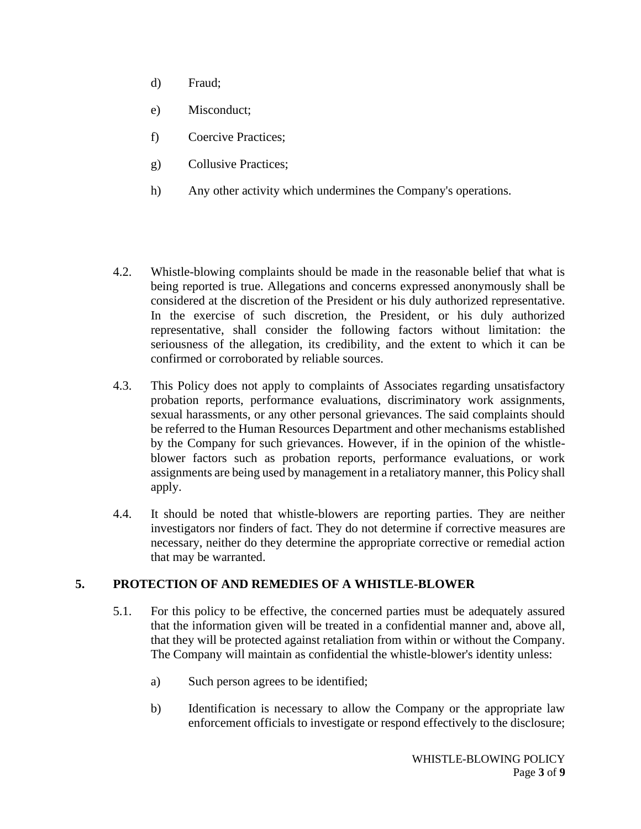- d) Fraud;
- e) Misconduct;
- f) Coercive Practices;
- g) Collusive Practices;
- h) Any other activity which undermines the Company's operations.
- 4.2. Whistle-blowing complaints should be made in the reasonable belief that what is being reported is true. Allegations and concerns expressed anonymously shall be considered at the discretion of the President or his duly authorized representative. In the exercise of such discretion, the President, or his duly authorized representative, shall consider the following factors without limitation: the seriousness of the allegation, its credibility, and the extent to which it can be confirmed or corroborated by reliable sources.
- 4.3. This Policy does not apply to complaints of Associates regarding unsatisfactory probation reports, performance evaluations, discriminatory work assignments, sexual harassments, or any other personal grievances. The said complaints should be referred to the Human Resources Department and other mechanisms established by the Company for such grievances. However, if in the opinion of the whistleblower factors such as probation reports, performance evaluations, or work assignments are being used by management in a retaliatory manner, this Policy shall apply.
- 4.4. It should be noted that whistle-blowers are reporting parties. They are neither investigators nor finders of fact. They do not determine if corrective measures are necessary, neither do they determine the appropriate corrective or remedial action that may be warranted.

### **5. PROTECTION OF AND REMEDIES OF A WHISTLE-BLOWER**

- 5.1. For this policy to be effective, the concerned parties must be adequately assured that the information given will be treated in a confidential manner and, above all, that they will be protected against retaliation from within or without the Company. The Company will maintain as confidential the whistle-blower's identity unless:
	- a) Such person agrees to be identified;
	- b) Identification is necessary to allow the Company or the appropriate law enforcement officials to investigate or respond effectively to the disclosure;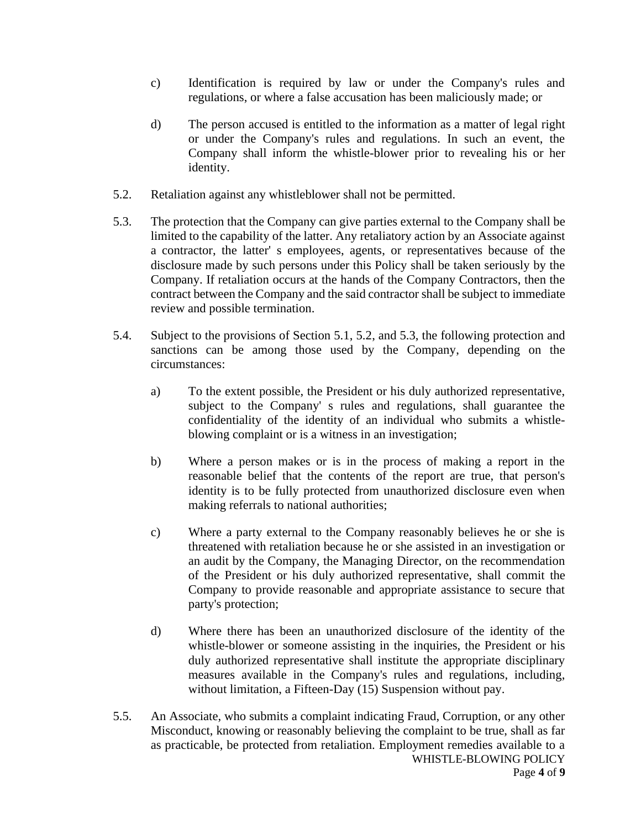- c) Identification is required by law or under the Company's rules and regulations, or where a false accusation has been maliciously made; or
- d) The person accused is entitled to the information as a matter of legal right or under the Company's rules and regulations. In such an event, the Company shall inform the whistle-blower prior to revealing his or her identity.
- 5.2. Retaliation against any whistleblower shall not be permitted.
- 5.3. The protection that the Company can give parties external to the Company shall be limited to the capability of the latter. Any retaliatory action by an Associate against a contractor, the latter' s employees, agents, or representatives because of the disclosure made by such persons under this Policy shall be taken seriously by the Company. If retaliation occurs at the hands of the Company Contractors, then the contract between the Company and the said contractor shall be subject to immediate review and possible termination.
- 5.4. Subject to the provisions of Section 5.1, 5.2, and 5.3, the following protection and sanctions can be among those used by the Company, depending on the circumstances:
	- a) To the extent possible, the President or his duly authorized representative, subject to the Company' s rules and regulations, shall guarantee the confidentiality of the identity of an individual who submits a whistleblowing complaint or is a witness in an investigation;
	- b) Where a person makes or is in the process of making a report in the reasonable belief that the contents of the report are true, that person's identity is to be fully protected from unauthorized disclosure even when making referrals to national authorities;
	- c) Where a party external to the Company reasonably believes he or she is threatened with retaliation because he or she assisted in an investigation or an audit by the Company, the Managing Director, on the recommendation of the President or his duly authorized representative, shall commit the Company to provide reasonable and appropriate assistance to secure that party's protection;
	- d) Where there has been an unauthorized disclosure of the identity of the whistle-blower or someone assisting in the inquiries, the President or his duly authorized representative shall institute the appropriate disciplinary measures available in the Company's rules and regulations, including, without limitation, a Fifteen-Day (15) Suspension without pay.
- WHISTLE-BLOWING POLICY Page **4** of **9** 5.5. An Associate, who submits a complaint indicating Fraud, Corruption, or any other Misconduct, knowing or reasonably believing the complaint to be true, shall as far as practicable, be protected from retaliation. Employment remedies available to a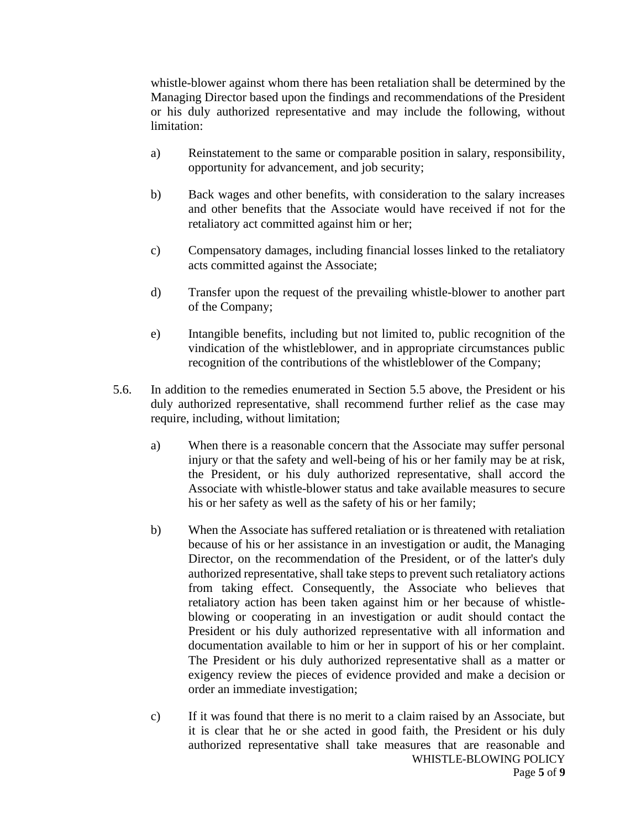whistle-blower against whom there has been retaliation shall be determined by the Managing Director based upon the findings and recommendations of the President or his duly authorized representative and may include the following, without limitation:

- a) Reinstatement to the same or comparable position in salary, responsibility, opportunity for advancement, and job security;
- b) Back wages and other benefits, with consideration to the salary increases and other benefits that the Associate would have received if not for the retaliatory act committed against him or her;
- c) Compensatory damages, including financial losses linked to the retaliatory acts committed against the Associate;
- d) Transfer upon the request of the prevailing whistle-blower to another part of the Company;
- e) Intangible benefits, including but not limited to, public recognition of the vindication of the whistleblower, and in appropriate circumstances public recognition of the contributions of the whistleblower of the Company;
- 5.6. In addition to the remedies enumerated in Section 5.5 above, the President or his duly authorized representative, shall recommend further relief as the case may require, including, without limitation;
	- a) When there is a reasonable concern that the Associate may suffer personal injury or that the safety and well-being of his or her family may be at risk, the President, or his duly authorized representative, shall accord the Associate with whistle-blower status and take available measures to secure his or her safety as well as the safety of his or her family;
	- b) When the Associate has suffered retaliation or is threatened with retaliation because of his or her assistance in an investigation or audit, the Managing Director, on the recommendation of the President, or of the latter's duly authorized representative, shall take steps to prevent such retaliatory actions from taking effect. Consequently, the Associate who believes that retaliatory action has been taken against him or her because of whistleblowing or cooperating in an investigation or audit should contact the President or his duly authorized representative with all information and documentation available to him or her in support of his or her complaint. The President or his duly authorized representative shall as a matter or exigency review the pieces of evidence provided and make a decision or order an immediate investigation;
	- WHISTLE-BLOWING POLICY Page **5** of **9** c) If it was found that there is no merit to a claim raised by an Associate, but it is clear that he or she acted in good faith, the President or his duly authorized representative shall take measures that are reasonable and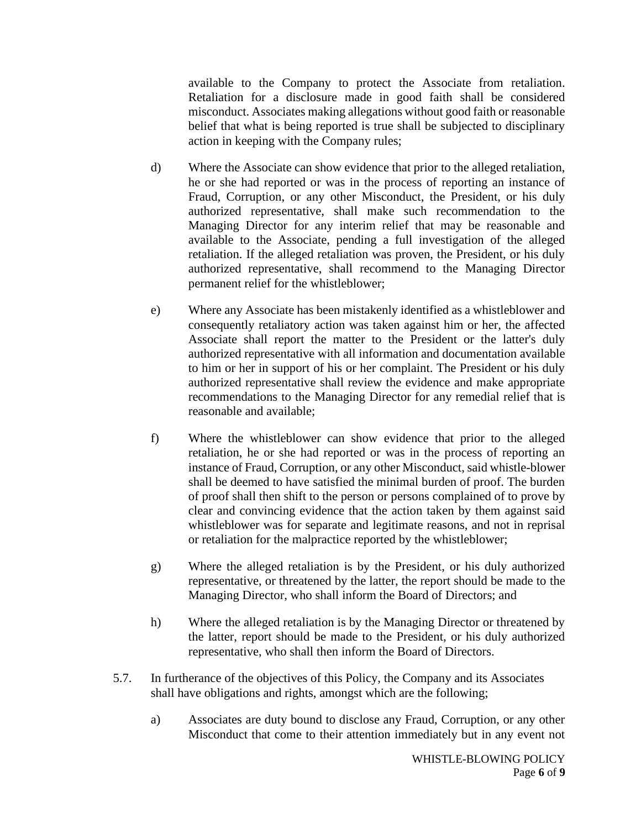available to the Company to protect the Associate from retaliation. Retaliation for a disclosure made in good faith shall be considered misconduct. Associates making allegations without good faith or reasonable belief that what is being reported is true shall be subjected to disciplinary action in keeping with the Company rules;

- d) Where the Associate can show evidence that prior to the alleged retaliation, he or she had reported or was in the process of reporting an instance of Fraud, Corruption, or any other Misconduct, the President, or his duly authorized representative, shall make such recommendation to the Managing Director for any interim relief that may be reasonable and available to the Associate, pending a full investigation of the alleged retaliation. If the alleged retaliation was proven, the President, or his duly authorized representative, shall recommend to the Managing Director permanent relief for the whistleblower;
- e) Where any Associate has been mistakenly identified as a whistleblower and consequently retaliatory action was taken against him or her, the affected Associate shall report the matter to the President or the latter's duly authorized representative with all information and documentation available to him or her in support of his or her complaint. The President or his duly authorized representative shall review the evidence and make appropriate recommendations to the Managing Director for any remedial relief that is reasonable and available;
- f) Where the whistleblower can show evidence that prior to the alleged retaliation, he or she had reported or was in the process of reporting an instance of Fraud, Corruption, or any other Misconduct, said whistle-blower shall be deemed to have satisfied the minimal burden of proof. The burden of proof shall then shift to the person or persons complained of to prove by clear and convincing evidence that the action taken by them against said whistleblower was for separate and legitimate reasons, and not in reprisal or retaliation for the malpractice reported by the whistleblower;
- g) Where the alleged retaliation is by the President, or his duly authorized representative, or threatened by the latter, the report should be made to the Managing Director, who shall inform the Board of Directors; and
- h) Where the alleged retaliation is by the Managing Director or threatened by the latter, report should be made to the President, or his duly authorized representative, who shall then inform the Board of Directors.
- 5.7. In furtherance of the objectives of this Policy, the Company and its Associates shall have obligations and rights, amongst which are the following;
	- a) Associates are duty bound to disclose any Fraud, Corruption, or any other Misconduct that come to their attention immediately but in any event not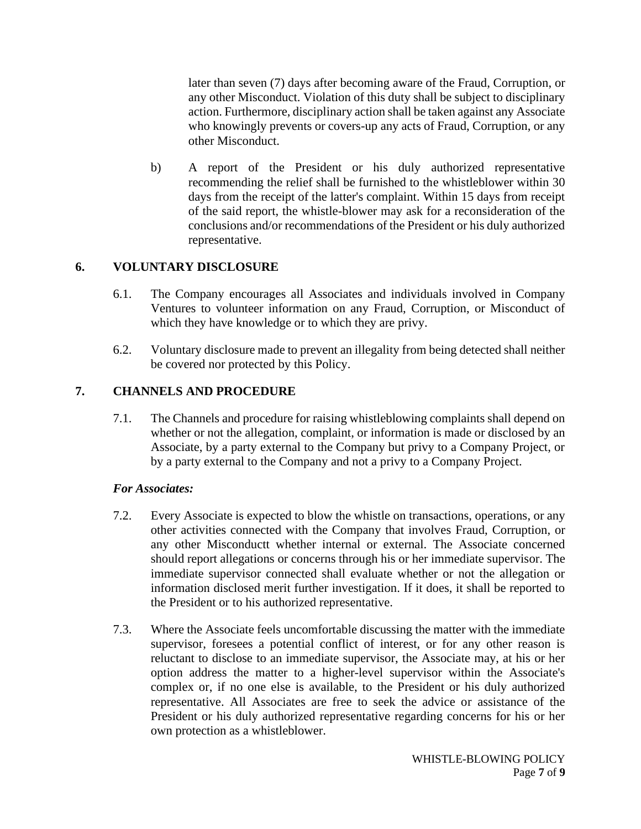later than seven (7) days after becoming aware of the Fraud, Corruption, or any other Misconduct. Violation of this duty shall be subject to disciplinary action. Furthermore, disciplinary action shall be taken against any Associate who knowingly prevents or covers-up any acts of Fraud, Corruption, or any other Misconduct.

b) A report of the President or his duly authorized representative recommending the relief shall be furnished to the whistleblower within 30 days from the receipt of the latter's complaint. Within 15 days from receipt of the said report, the whistle-blower may ask for a reconsideration of the conclusions and/or recommendations of the President or his duly authorized representative.

### **6. VOLUNTARY DISCLOSURE**

- 6.1. The Company encourages all Associates and individuals involved in Company Ventures to volunteer information on any Fraud, Corruption, or Misconduct of which they have knowledge or to which they are privy.
- 6.2. Voluntary disclosure made to prevent an illegality from being detected shall neither be covered nor protected by this Policy.

# **7. CHANNELS AND PROCEDURE**

7.1. The Channels and procedure for raising whistleblowing complaints shall depend on whether or not the allegation, complaint, or information is made or disclosed by an Associate, by a party external to the Company but privy to a Company Project, or by a party external to the Company and not a privy to a Company Project.

### *For Associates:*

- 7.2. Every Associate is expected to blow the whistle on transactions, operations, or any other activities connected with the Company that involves Fraud, Corruption, or any other Misconductt whether internal or external. The Associate concerned should report allegations or concerns through his or her immediate supervisor. The immediate supervisor connected shall evaluate whether or not the allegation or information disclosed merit further investigation. If it does, it shall be reported to the President or to his authorized representative.
- 7.3. Where the Associate feels uncomfortable discussing the matter with the immediate supervisor, foresees a potential conflict of interest, or for any other reason is reluctant to disclose to an immediate supervisor, the Associate may, at his or her option address the matter to a higher-level supervisor within the Associate's complex or, if no one else is available, to the President or his duly authorized representative. All Associates are free to seek the advice or assistance of the President or his duly authorized representative regarding concerns for his or her own protection as a whistleblower.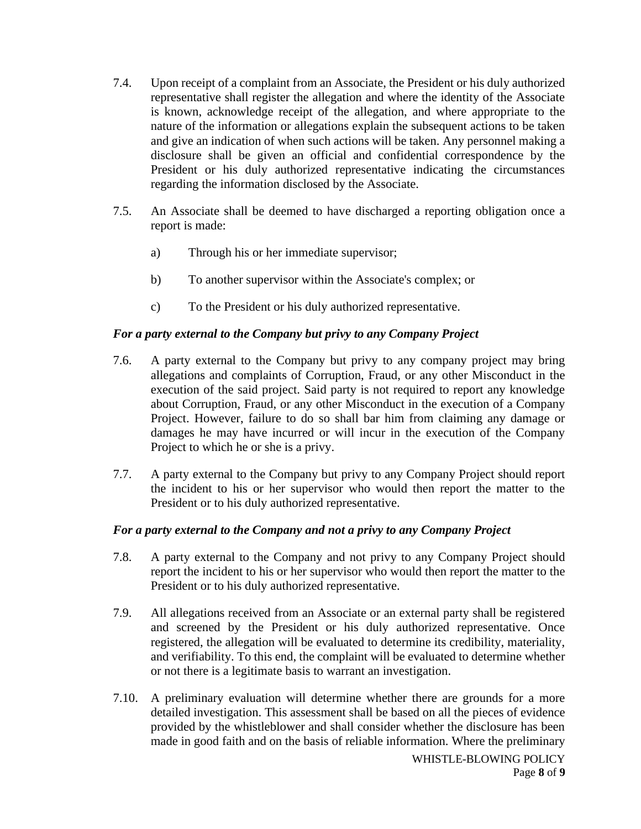- 7.4. Upon receipt of a complaint from an Associate, the President or his duly authorized representative shall register the allegation and where the identity of the Associate is known, acknowledge receipt of the allegation, and where appropriate to the nature of the information or allegations explain the subsequent actions to be taken and give an indication of when such actions will be taken. Any personnel making a disclosure shall be given an official and confidential correspondence by the President or his duly authorized representative indicating the circumstances regarding the information disclosed by the Associate.
- 7.5. An Associate shall be deemed to have discharged a reporting obligation once a report is made:
	- a) Through his or her immediate supervisor;
	- b) To another supervisor within the Associate's complex; or
	- c) To the President or his duly authorized representative.

### *For a party external to the Company but privy to any Company Project*

- 7.6. A party external to the Company but privy to any company project may bring allegations and complaints of Corruption, Fraud, or any other Misconduct in the execution of the said project. Said party is not required to report any knowledge about Corruption, Fraud, or any other Misconduct in the execution of a Company Project. However, failure to do so shall bar him from claiming any damage or damages he may have incurred or will incur in the execution of the Company Project to which he or she is a privy.
- 7.7. A party external to the Company but privy to any Company Project should report the incident to his or her supervisor who would then report the matter to the President or to his duly authorized representative.

### *For a party external to the Company and not a privy to any Company Project*

- 7.8. A party external to the Company and not privy to any Company Project should report the incident to his or her supervisor who would then report the matter to the President or to his duly authorized representative.
- 7.9. All allegations received from an Associate or an external party shall be registered and screened by the President or his duly authorized representative. Once registered, the allegation will be evaluated to determine its credibility, materiality, and verifiability. To this end, the complaint will be evaluated to determine whether or not there is a legitimate basis to warrant an investigation.
- 7.10. A preliminary evaluation will determine whether there are grounds for a more detailed investigation. This assessment shall be based on all the pieces of evidence provided by the whistleblower and shall consider whether the disclosure has been made in good faith and on the basis of reliable information. Where the preliminary